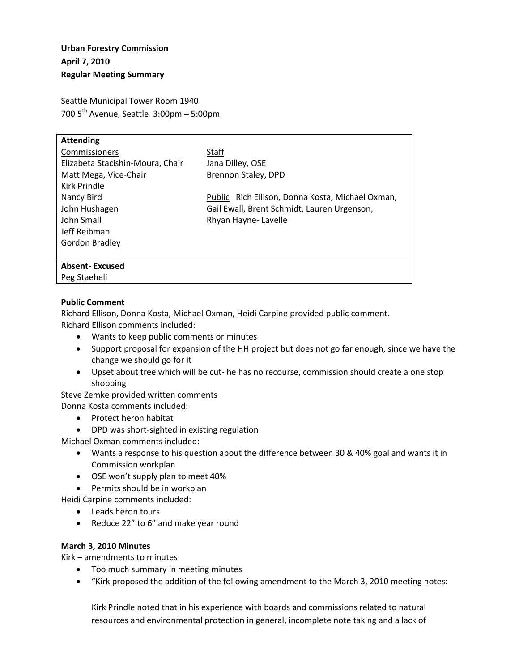# **Urban Forestry Commission April 7, 2010 Regular Meeting Summary**

Seattle Municipal Tower Room 1940 700  $5<sup>th</sup>$  Avenue, Seattle 3:00pm – 5:00pm

| <b>Attending</b>                 |                                                  |
|----------------------------------|--------------------------------------------------|
| Commissioners                    | Staff                                            |
| Elizabeta Stacishin-Moura, Chair | Jana Dilley, OSE                                 |
| Matt Mega, Vice-Chair            | Brennon Staley, DPD                              |
| Kirk Prindle                     |                                                  |
| Nancy Bird                       | Public Rich Ellison, Donna Kosta, Michael Oxman, |
| John Hushagen                    | Gail Ewall, Brent Schmidt, Lauren Urgenson,      |
| John Small                       | Rhyan Hayne-Lavelle                              |
| Jeff Reibman                     |                                                  |
| Gordon Bradley                   |                                                  |
|                                  |                                                  |
| <b>Absent-Excused</b>            |                                                  |
| Peg Staeheli                     |                                                  |

## **Public Comment**

Richard Ellison, Donna Kosta, Michael Oxman, Heidi Carpine provided public comment. Richard Ellison comments included:

- Wants to keep public comments or minutes
- Support proposal for expansion of the HH project but does not go far enough, since we have the change we should go for it
- Upset about tree which will be cut- he has no recourse, commission should create a one stop shopping

Steve Zemke provided written comments

Donna Kosta comments included:

- Protect heron habitat
- DPD was short-sighted in existing regulation

Michael Oxman comments included:

- Wants a response to his question about the difference between 30 & 40% goal and wants it in Commission workplan
- OSE won't supply plan to meet 40%
- Permits should be in workplan

Heidi Carpine comments included:

- Leads heron tours
- Reduce 22" to 6" and make year round

#### **March 3, 2010 Minutes**

Kirk – amendments to minutes

- Too much summary in meeting minutes
- "Kirk proposed the addition of the following amendment to the March 3, 2010 meeting notes:

Kirk Prindle noted that in his experience with boards and commissions related to natural resources and environmental protection in general, incomplete note taking and a lack of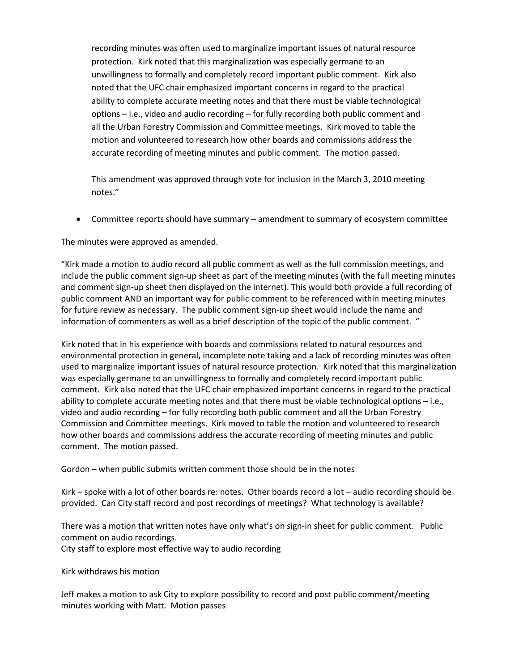recording minutes was often used to marginalize important issues of natural resource protection. Kirk noted that this marginalization was especially germane to an unwillingness to formally and completely record important public comment. Kirk also noted that the UFC chair emphasized important concerns in regard to the practical ability to complete accurate meeting notes and that there must be viable technological options – i.e., video and audio recording – for fully recording both public comment and all the Urban Forestry Commission and Committee meetings. Kirk moved to table the motion and volunteered to research how other boards and commissions address the accurate recording of meeting minutes and public comment. The motion passed.

This amendment was approved through vote for inclusion in the March 3, 2010 meeting notes."

• Committee reports should have summary – amendment to summary of ecosystem committee

The minutes were approved as amended.

"Kirk made a motion to audio record all public comment as well as the full commission meetings, and include the public comment sign-up sheet as part of the meeting minutes (with the full meeting minutes and comment sign-up sheet then displayed on the internet). This would both provide a full recording of public comment AND an important way for public comment to be referenced within meeting minutes for future review as necessary. The public comment sign-up sheet would include the name and information of commenters as well as a brief description of the topic of the public comment. "

Kirk noted that in his experience with boards and commissions related to natural resources and environmental protection in general, incomplete note taking and a lack of recording minutes was often used to marginalize important issues of natural resource protection. Kirk noted that this marginalization was especially germane to an unwillingness to formally and completely record important public comment. Kirk also noted that the UFC chair emphasized important concerns in regard to the practical ability to complete accurate meeting notes and that there must be viable technological options – i.e., video and audio recording – for fully recording both public comment and all the Urban Forestry Commission and Committee meetings. Kirk moved to table the motion and volunteered to research how other boards and commissions address the accurate recording of meeting minutes and public comment. The motion passed.

Gordon – when public submits written comment those should be in the notes

Kirk – spoke with a lot of other boards re: notes. Other boards record a lot – audio recording should be provided. Can City staff record and post recordings of meetings? What technology is available?

There was a motion that written notes have only what's on sign-in sheet for public comment. Public comment on audio recordings.

City staff to explore most effective way to audio recording

Kirk withdraws his motion

Jeff makes a motion to ask City to explore possibility to record and post public comment/meeting minutes working with Matt. Motion passes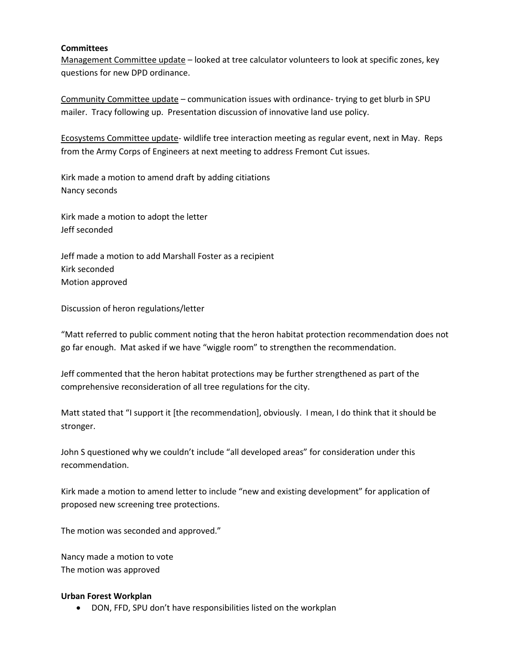### **Committees**

Management Committee update – looked at tree calculator volunteers to look at specific zones, key questions for new DPD ordinance.

Community Committee update – communication issues with ordinance- trying to get blurb in SPU mailer. Tracy following up. Presentation discussion of innovative land use policy.

Ecosystems Committee update- wildlife tree interaction meeting as regular event, next in May. Reps from the Army Corps of Engineers at next meeting to address Fremont Cut issues.

Kirk made a motion to amend draft by adding citiations Nancy seconds

Kirk made a motion to adopt the letter Jeff seconded

Jeff made a motion to add Marshall Foster as a recipient Kirk seconded Motion approved

Discussion of heron regulations/letter

"Matt referred to public comment noting that the heron habitat protection recommendation does not go far enough. Mat asked if we have "wiggle room" to strengthen the recommendation.

Jeff commented that the heron habitat protections may be further strengthened as part of the comprehensive reconsideration of all tree regulations for the city.

Matt stated that "I support it [the recommendation], obviously. I mean, I do think that it should be stronger.

John S questioned why we couldn't include "all developed areas" for consideration under this recommendation.

Kirk made a motion to amend letter to include "new and existing development" for application of proposed new screening tree protections.

The motion was seconded and approved."

Nancy made a motion to vote The motion was approved

## **Urban Forest Workplan**

• DON, FFD, SPU don't have responsibilities listed on the workplan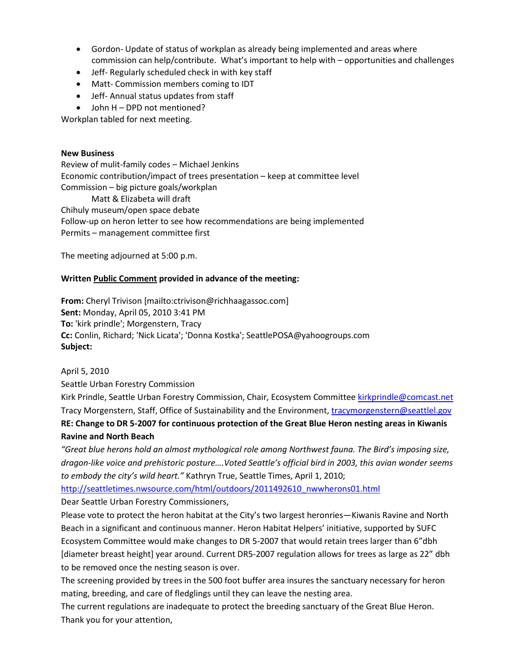- Gordon- Update of status of workplan as already being implemented and areas where commission can help/contribute. What's important to help with – opportunities and challenges
- Jeff- Regularly scheduled check in with key staff
- Matt- Commission members coming to IDT
- Jeff- Annual status updates from staff
- John H DPD not mentioned?

Workplan tabled for next meeting.

## **New Business**

Review of mulit-family codes – Michael Jenkins Economic contribution/impact of trees presentation – keep at committee level Commission – big picture goals/workplan Matt & Elizabeta will draft Chihuly museum/open space debate Follow-up on heron letter to see how recommendations are being implemented

Permits – management committee first

The meeting adjourned at 5:00 p.m.

## **Written Public Comment provided in advance of the meeting:**

**From:** Cheryl Trivison [mailto:ctrivison@richhaagassoc.com] **Sent:** Monday, April 05, 2010 3:41 PM **To:** 'kirk prindle'; Morgenstern, Tracy **Cc:** Conlin, Richard; 'Nick Licata'; 'Donna Kostka'; SeattlePOSA@yahoogroups.com **Subject:**

April 5, 2010

Seattle Urban Forestry Commission

Kirk Prindle, Seattle Urban Forestry Commission, Chair, Ecosystem Committee [kirkprindle@comcast.net](mailto:kirkprindle@comcast.net) Tracy Morgenstern, Staff, Office of Sustainability and the Environment, [tracymorgenstern@seattlel.gov](mailto:tracymorgenstern@seattlel.gov) **RE: Change to DR 5-2007 for continuous protection of the Great Blue Heron nesting areas in Kiwanis Ravine and North Beach**

*"Great blue herons hold an almost mythological role among Northwest fauna. The Bird's imposing size, dragon-like voice and prehistoric posture….Voted Seattle's official bird in 2003, this avian wonder seems to embody the city's wild heart."* Kathryn True, Seattle Times, April 1, 2010;

[http://seattletimes.nwsource.com/html/outdoors/2011492610\\_nwwherons01.html](http://seattletimes.nwsource.com/html/outdoors/2011492610_nwwherons01.html)

Dear Seattle Urban Forestry Commissioners,

Please vote to protect the heron habitat at the City's two largest heronries—Kiwanis Ravine and North Beach in a significant and continuous manner. Heron Habitat Helpers' initiative, supported by SUFC Ecosystem Committee would make changes to DR 5-2007 that would retain trees larger than 6"dbh [diameter breast height] year around. Current DR5-2007 regulation allows for trees as large as 22" dbh to be removed once the nesting season is over.

The screening provided by trees in the 500 foot buffer area insures the sanctuary necessary for heron mating, breeding, and care of fledglings until they can leave the nesting area.

The current regulations are inadequate to protect the breeding sanctuary of the Great Blue Heron. Thank you for your attention,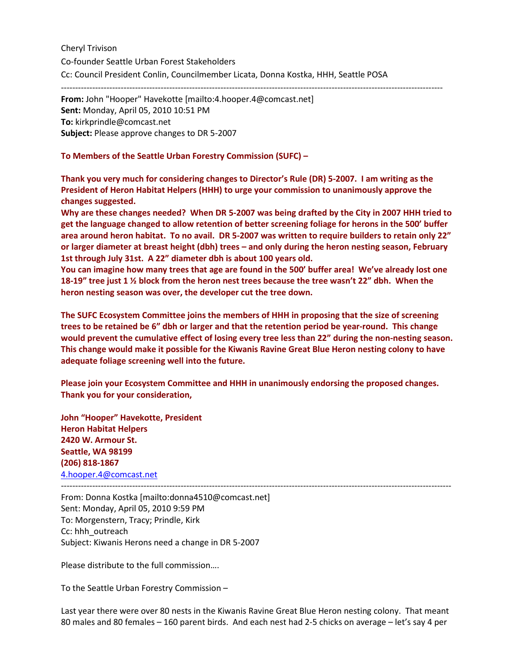Cheryl Trivison Co-founder Seattle Urban Forest Stakeholders Cc: Council President Conlin, Councilmember Licata, Donna Kostka, HHH, Seattle POSA

--------------------------------------------------------------------------------------------------------------------------------------

**From:** John "Hooper" Havekotte [mailto:4.hooper.4@comcast.net] **Sent:** Monday, April 05, 2010 10:51 PM **To:** kirkprindle@comcast.net **Subject:** Please approve changes to DR 5-2007

**To Members of the Seattle Urban Forestry Commission (SUFC) –**

**Thank you very much for considering changes to Director's Rule (DR) 5-2007. I am writing as the President of Heron Habitat Helpers (HHH) to urge your commission to unanimously approve the changes suggested.**

**Why are these changes needed? When DR 5-2007 was being drafted by the City in 2007 HHH tried to get the language changed to allow retention of better screening foliage for herons in the 500' buffer area around heron habitat. To no avail. DR 5-2007 was written to require builders to retain only 22" or larger diameter at breast height (dbh) trees – and only during the heron nesting season, February 1st through July 31st. A 22" diameter dbh is about 100 years old.**

**You can imagine how many trees that age are found in the 500' buffer area! We've already lost one 18-19" tree just 1 ½ block from the heron nest trees because the tree wasn't 22" dbh. When the heron nesting season was over, the developer cut the tree down.**

**The SUFC Ecosystem Committee joins the members of HHH in proposing that the size of screening trees to be retained be 6" dbh or larger and that the retention period be year-round. This change would prevent the cumulative effect of losing every tree less than 22" during the non-nesting season. This change would make it possible for the Kiwanis Ravine Great Blue Heron nesting colony to have adequate foliage screening well into the future.**

**Please join your Ecosystem Committee and HHH in unanimously endorsing the proposed changes. Thank you for your consideration,**

**John "Hooper" Havekotte, President Heron Habitat Helpers 2420 W. Armour St. Seattle, WA 98199 (206) 818-1867** [4.hooper.4@comcast.net](mailto:4.hooper.4@comcast.net)

----------------------------------------------------------------------------------------------------------------------------------------- From: Donna Kostka [mailto:donna4510@comcast.net] Sent: Monday, April 05, 2010 9:59 PM To: Morgenstern, Tracy; Prindle, Kirk Cc: hhh\_outreach Subject: Kiwanis Herons need a change in DR 5-2007

Please distribute to the full commission….

To the Seattle Urban Forestry Commission –

Last year there were over 80 nests in the Kiwanis Ravine Great Blue Heron nesting colony. That meant 80 males and 80 females – 160 parent birds. And each nest had 2-5 chicks on average – let's say 4 per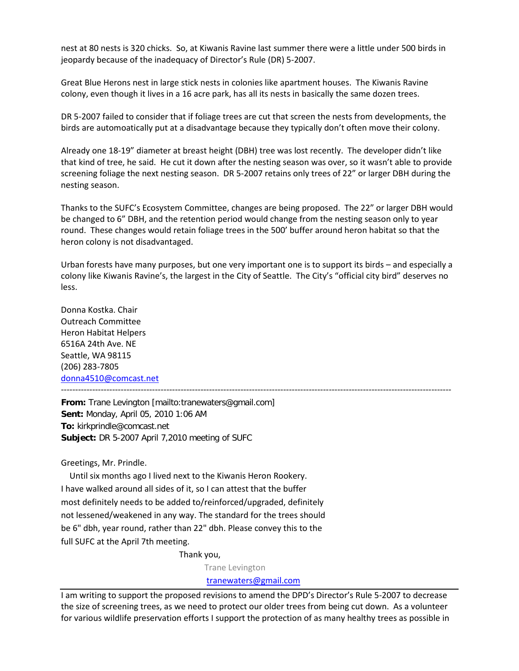nest at 80 nests is 320 chicks. So, at Kiwanis Ravine last summer there were a little under 500 birds in jeopardy because of the inadequacy of Director's Rule (DR) 5-2007.

Great Blue Herons nest in large stick nests in colonies like apartment houses. The Kiwanis Ravine colony, even though it lives in a 16 acre park, has all its nests in basically the same dozen trees.

DR 5-2007 failed to consider that if foliage trees are cut that screen the nests from developments, the birds are automoatically put at a disadvantage because they typically don't often move their colony.

Already one 18-19" diameter at breast height (DBH) tree was lost recently. The developer didn't like that kind of tree, he said. He cut it down after the nesting season was over, so it wasn't able to provide screening foliage the next nesting season. DR 5-2007 retains only trees of 22" or larger DBH during the nesting season.

Thanks to the SUFC's Ecosystem Committee, changes are being proposed. The 22" or larger DBH would be changed to 6" DBH, and the retention period would change from the nesting season only to year round. These changes would retain foliage trees in the 500' buffer around heron habitat so that the heron colony is not disadvantaged.

Urban forests have many purposes, but one very important one is to support its birds – and especially a colony like Kiwanis Ravine's, the largest in the City of Seattle. The City's "official city bird" deserves no less.

Donna Kostka. Chair Outreach Committee Heron Habitat Helpers 6516A 24th Ave. NE Seattle, WA 98115 (206) 283-7805 [donna4510@comcast.net](mailto:donna4510@comcast.net)

-----------------------------------------------------------------------------------------------------------------------------------------

**From:** Trane Levington [mailto:tranewaters@gmail.com] **Sent:** Monday, April 05, 2010 1:06 AM **To:** kirkprindle@comcast.net **Subject:** DR 5-2007 April 7,2010 meeting of SUFC

Greetings, Mr. Prindle.

 Until six months ago I lived next to the Kiwanis Heron Rookery. I have walked around all sides of it, so I can attest that the buffer most definitely needs to be added to/reinforced/upgraded, definitely not lessened/weakened in any way. The standard for the trees should be 6" dbh, year round, rather than 22" dbh. Please convey this to the full SUFC at the April 7th meeting.

Thank you,

Trane Levington

[tranewaters@gmail.com](mailto:tranewaters@gmail.com)

I am writing to support the proposed revisions to amend the DPD's Director's Rule 5-2007 to decrease the size of screening trees, as we need to protect our older trees from being cut down. As a volunteer for various wildlife preservation efforts I support the protection of as many healthy trees as possible in